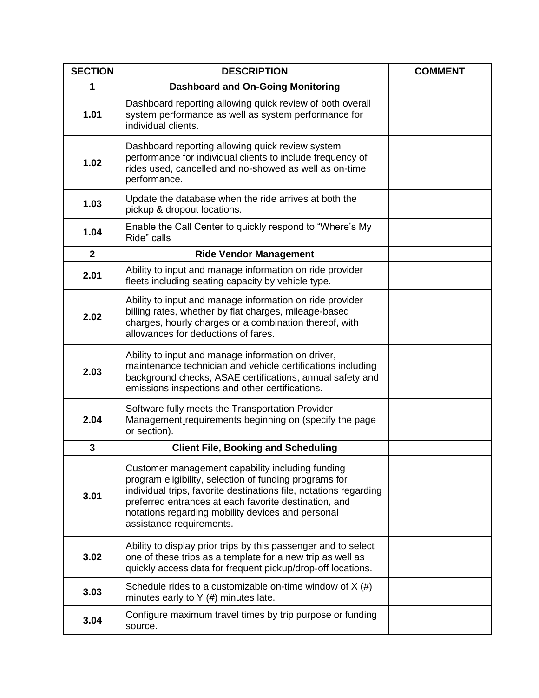| <b>SECTION</b>          | <b>DESCRIPTION</b>                                                                                                                                                                                                                                                                                                        | <b>COMMENT</b> |
|-------------------------|---------------------------------------------------------------------------------------------------------------------------------------------------------------------------------------------------------------------------------------------------------------------------------------------------------------------------|----------------|
| 1                       | <b>Dashboard and On-Going Monitoring</b>                                                                                                                                                                                                                                                                                  |                |
| 1.01                    | Dashboard reporting allowing quick review of both overall<br>system performance as well as system performance for<br>individual clients.                                                                                                                                                                                  |                |
| 1.02                    | Dashboard reporting allowing quick review system<br>performance for individual clients to include frequency of<br>rides used, cancelled and no-showed as well as on-time<br>performance.                                                                                                                                  |                |
| 1.03                    | Update the database when the ride arrives at both the<br>pickup & dropout locations.                                                                                                                                                                                                                                      |                |
| 1.04                    | Enable the Call Center to quickly respond to "Where's My<br>Ride" calls                                                                                                                                                                                                                                                   |                |
| $\mathbf{2}$            | <b>Ride Vendor Management</b>                                                                                                                                                                                                                                                                                             |                |
| 2.01                    | Ability to input and manage information on ride provider<br>fleets including seating capacity by vehicle type.                                                                                                                                                                                                            |                |
| 2.02                    | Ability to input and manage information on ride provider<br>billing rates, whether by flat charges, mileage-based<br>charges, hourly charges or a combination thereof, with<br>allowances for deductions of fares.                                                                                                        |                |
| 2.03                    | Ability to input and manage information on driver,<br>maintenance technician and vehicle certifications including<br>background checks, ASAE certifications, annual safety and<br>emissions inspections and other certifications.                                                                                         |                |
| 2.04                    | Software fully meets the Transportation Provider<br>Management requirements beginning on (specify the page<br>or section).                                                                                                                                                                                                |                |
| $\overline{\mathbf{3}}$ | <b>Client File, Booking and Scheduling</b>                                                                                                                                                                                                                                                                                |                |
| 3.01                    | Customer management capability including funding<br>program eligibility, selection of funding programs for<br>individual trips, favorite destinations file, notations regarding<br>preferred entrances at each favorite destination, and<br>notations regarding mobility devices and personal<br>assistance requirements. |                |
| 3.02                    | Ability to display prior trips by this passenger and to select<br>one of these trips as a template for a new trip as well as<br>quickly access data for frequent pickup/drop-off locations.                                                                                                                               |                |
| 3.03                    | Schedule rides to a customizable on-time window of $X(\#)$<br>minutes early to $Y$ (#) minutes late.                                                                                                                                                                                                                      |                |
| 3.04                    | Configure maximum travel times by trip purpose or funding<br>source.                                                                                                                                                                                                                                                      |                |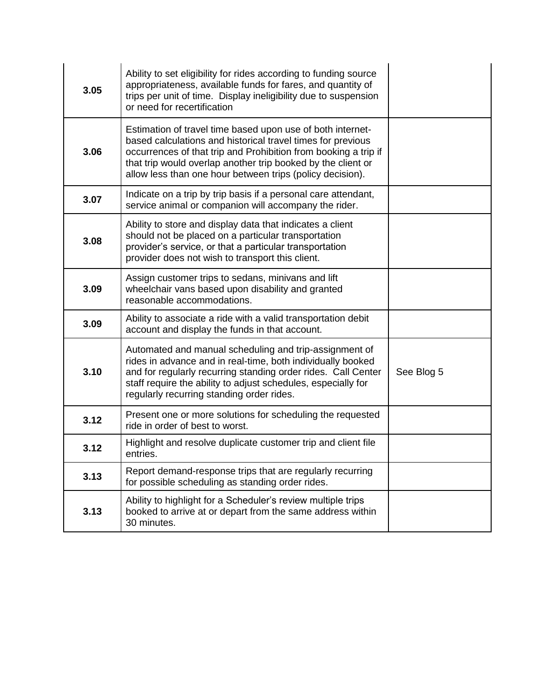| 3.05 | Ability to set eligibility for rides according to funding source<br>appropriateness, available funds for fares, and quantity of<br>trips per unit of time. Display ineligibility due to suspension<br>or need for recertification                                                                                         |            |
|------|---------------------------------------------------------------------------------------------------------------------------------------------------------------------------------------------------------------------------------------------------------------------------------------------------------------------------|------------|
| 3.06 | Estimation of travel time based upon use of both internet-<br>based calculations and historical travel times for previous<br>occurrences of that trip and Prohibition from booking a trip if<br>that trip would overlap another trip booked by the client or<br>allow less than one hour between trips (policy decision). |            |
| 3.07 | Indicate on a trip by trip basis if a personal care attendant,<br>service animal or companion will accompany the rider.                                                                                                                                                                                                   |            |
| 3.08 | Ability to store and display data that indicates a client<br>should not be placed on a particular transportation<br>provider's service, or that a particular transportation<br>provider does not wish to transport this client.                                                                                           |            |
| 3.09 | Assign customer trips to sedans, minivans and lift<br>wheelchair vans based upon disability and granted<br>reasonable accommodations.                                                                                                                                                                                     |            |
| 3.09 | Ability to associate a ride with a valid transportation debit<br>account and display the funds in that account.                                                                                                                                                                                                           |            |
| 3.10 | Automated and manual scheduling and trip-assignment of<br>rides in advance and in real-time, both individually booked<br>and for regularly recurring standing order rides. Call Center<br>staff require the ability to adjust schedules, especially for<br>regularly recurring standing order rides.                      | See Blog 5 |
| 3.12 | Present one or more solutions for scheduling the requested<br>ride in order of best to worst.                                                                                                                                                                                                                             |            |
| 3.12 | Highlight and resolve duplicate customer trip and client file<br>entries.                                                                                                                                                                                                                                                 |            |
| 3.13 | Report demand-response trips that are regularly recurring<br>for possible scheduling as standing order rides.                                                                                                                                                                                                             |            |
| 3.13 | Ability to highlight for a Scheduler's review multiple trips<br>booked to arrive at or depart from the same address within<br>30 minutes.                                                                                                                                                                                 |            |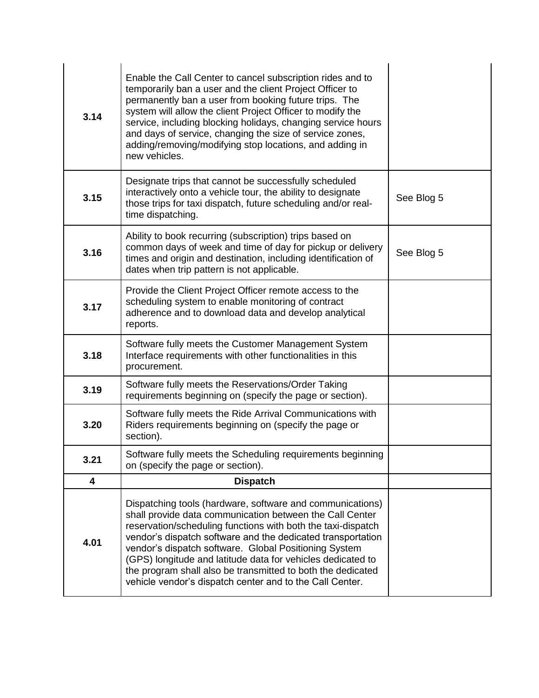| 3.14 | Enable the Call Center to cancel subscription rides and to<br>temporarily ban a user and the client Project Officer to<br>permanently ban a user from booking future trips. The<br>system will allow the client Project Officer to modify the<br>service, including blocking holidays, changing service hours<br>and days of service, changing the size of service zones,<br>adding/removing/modifying stop locations, and adding in<br>new vehicles.                                                   |            |
|------|---------------------------------------------------------------------------------------------------------------------------------------------------------------------------------------------------------------------------------------------------------------------------------------------------------------------------------------------------------------------------------------------------------------------------------------------------------------------------------------------------------|------------|
| 3.15 | Designate trips that cannot be successfully scheduled<br>interactively onto a vehicle tour, the ability to designate<br>those trips for taxi dispatch, future scheduling and/or real-<br>time dispatching.                                                                                                                                                                                                                                                                                              | See Blog 5 |
| 3.16 | Ability to book recurring (subscription) trips based on<br>common days of week and time of day for pickup or delivery<br>times and origin and destination, including identification of<br>dates when trip pattern is not applicable.                                                                                                                                                                                                                                                                    | See Blog 5 |
| 3.17 | Provide the Client Project Officer remote access to the<br>scheduling system to enable monitoring of contract<br>adherence and to download data and develop analytical<br>reports.                                                                                                                                                                                                                                                                                                                      |            |
| 3.18 | Software fully meets the Customer Management System<br>Interface requirements with other functionalities in this<br>procurement.                                                                                                                                                                                                                                                                                                                                                                        |            |
| 3.19 | Software fully meets the Reservations/Order Taking<br>requirements beginning on (specify the page or section).                                                                                                                                                                                                                                                                                                                                                                                          |            |
| 3.20 | Software fully meets the Ride Arrival Communications with<br>Riders requirements beginning on (specify the page or<br>section).                                                                                                                                                                                                                                                                                                                                                                         |            |
| 3.21 | Software fully meets the Scheduling requirements beginning<br>on (specify the page or section).                                                                                                                                                                                                                                                                                                                                                                                                         |            |
| 4    | <b>Dispatch</b>                                                                                                                                                                                                                                                                                                                                                                                                                                                                                         |            |
| 4.01 | Dispatching tools (hardware, software and communications)<br>shall provide data communication between the Call Center<br>reservation/scheduling functions with both the taxi-dispatch<br>vendor's dispatch software and the dedicated transportation<br>vendor's dispatch software. Global Positioning System<br>(GPS) longitude and latitude data for vehicles dedicated to<br>the program shall also be transmitted to both the dedicated<br>vehicle vendor's dispatch center and to the Call Center. |            |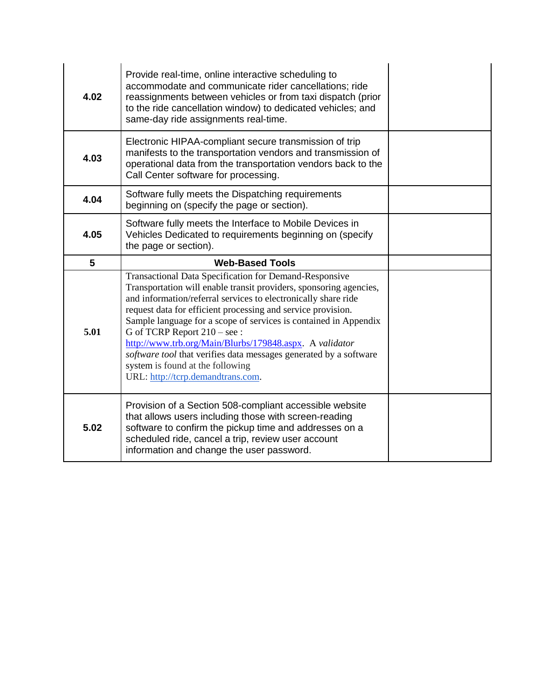| 4.02 | Provide real-time, online interactive scheduling to<br>accommodate and communicate rider cancellations; ride<br>reassignments between vehicles or from taxi dispatch (prior<br>to the ride cancellation window) to dedicated vehicles; and<br>same-day ride assignments real-time.                                                                                       |  |
|------|--------------------------------------------------------------------------------------------------------------------------------------------------------------------------------------------------------------------------------------------------------------------------------------------------------------------------------------------------------------------------|--|
| 4.03 | Electronic HIPAA-compliant secure transmission of trip<br>manifests to the transportation vendors and transmission of<br>operational data from the transportation vendors back to the<br>Call Center software for processing.                                                                                                                                            |  |
| 4.04 | Software fully meets the Dispatching requirements<br>beginning on (specify the page or section).                                                                                                                                                                                                                                                                         |  |
| 4.05 | Software fully meets the Interface to Mobile Devices in<br>Vehicles Dedicated to requirements beginning on (specify<br>the page or section).                                                                                                                                                                                                                             |  |
| 5    | <b>Web-Based Tools</b>                                                                                                                                                                                                                                                                                                                                                   |  |
|      | Transactional Data Specification for Demand-Responsive<br>Transportation will enable transit providers, sponsoring agencies,<br>and information/referral services to electronically share ride                                                                                                                                                                           |  |
| 5.01 | request data for efficient processing and service provision.<br>Sample language for a scope of services is contained in Appendix<br>G of TCRP Report 210 - see:<br>http://www.trb.org/Main/Blurbs/179848.aspx. A validator<br>software tool that verifies data messages generated by a software<br>system is found at the following<br>URL: http://tcrp.demandtrans.com. |  |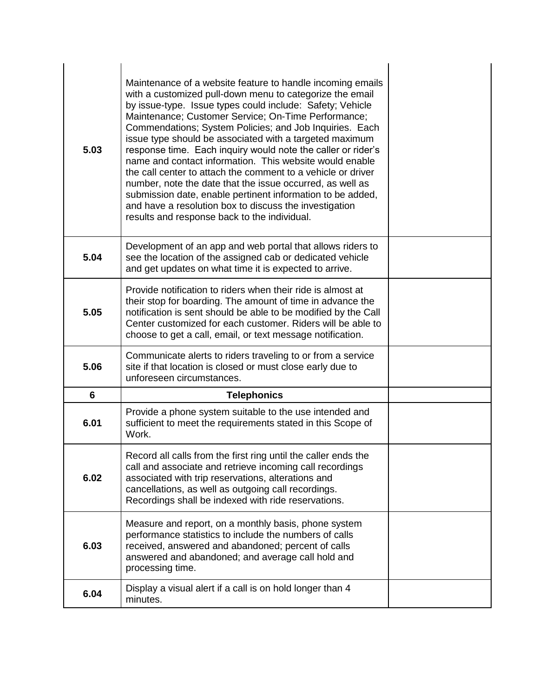| 5.03 | Maintenance of a website feature to handle incoming emails<br>with a customized pull-down menu to categorize the email<br>by issue-type. Issue types could include: Safety; Vehicle<br>Maintenance; Customer Service; On-Time Performance;<br>Commendations; System Policies; and Job Inquiries. Each<br>issue type should be associated with a targeted maximum<br>response time. Each inquiry would note the caller or rider's<br>name and contact information. This website would enable<br>the call center to attach the comment to a vehicle or driver<br>number, note the date that the issue occurred, as well as<br>submission date, enable pertinent information to be added,<br>and have a resolution box to discuss the investigation<br>results and response back to the individual. |  |
|------|--------------------------------------------------------------------------------------------------------------------------------------------------------------------------------------------------------------------------------------------------------------------------------------------------------------------------------------------------------------------------------------------------------------------------------------------------------------------------------------------------------------------------------------------------------------------------------------------------------------------------------------------------------------------------------------------------------------------------------------------------------------------------------------------------|--|
| 5.04 | Development of an app and web portal that allows riders to<br>see the location of the assigned cab or dedicated vehicle<br>and get updates on what time it is expected to arrive.                                                                                                                                                                                                                                                                                                                                                                                                                                                                                                                                                                                                                |  |
| 5.05 | Provide notification to riders when their ride is almost at<br>their stop for boarding. The amount of time in advance the<br>notification is sent should be able to be modified by the Call<br>Center customized for each customer. Riders will be able to<br>choose to get a call, email, or text message notification.                                                                                                                                                                                                                                                                                                                                                                                                                                                                         |  |
| 5.06 | Communicate alerts to riders traveling to or from a service<br>site if that location is closed or must close early due to<br>unforeseen circumstances.                                                                                                                                                                                                                                                                                                                                                                                                                                                                                                                                                                                                                                           |  |
| 6    | <b>Telephonics</b>                                                                                                                                                                                                                                                                                                                                                                                                                                                                                                                                                                                                                                                                                                                                                                               |  |
| 6.01 | Provide a phone system suitable to the use intended and<br>sufficient to meet the requirements stated in this Scope of<br>Work.                                                                                                                                                                                                                                                                                                                                                                                                                                                                                                                                                                                                                                                                  |  |
| 6.02 | Record all calls from the first ring until the caller ends the<br>call and associate and retrieve incoming call recordings<br>associated with trip reservations, alterations and<br>cancellations, as well as outgoing call recordings.<br>Recordings shall be indexed with ride reservations.                                                                                                                                                                                                                                                                                                                                                                                                                                                                                                   |  |
| 6.03 | Measure and report, on a monthly basis, phone system<br>performance statistics to include the numbers of calls<br>received, answered and abandoned; percent of calls<br>answered and abandoned; and average call hold and<br>processing time.                                                                                                                                                                                                                                                                                                                                                                                                                                                                                                                                                    |  |
| 6.04 | Display a visual alert if a call is on hold longer than 4<br>minutes.                                                                                                                                                                                                                                                                                                                                                                                                                                                                                                                                                                                                                                                                                                                            |  |